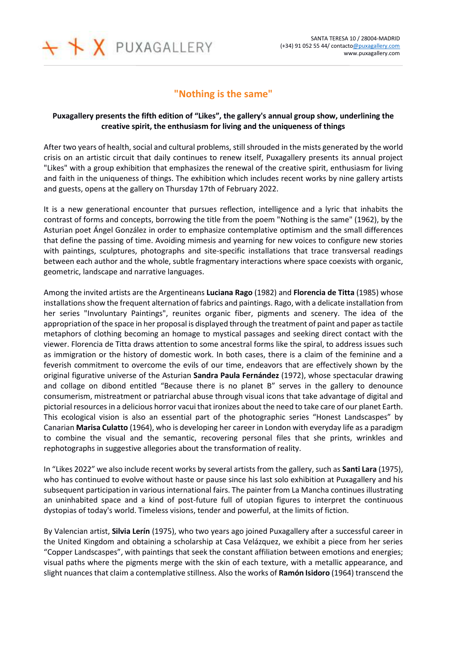

## **"Nothing is the same"**

## **Puxagallery presents the fifth edition of "Likes", the gallery's annual group show, underlining the creative spirit, the enthusiasm for living and the uniqueness of things**

After two years of health, social and cultural problems, still shrouded in the mists generated by the world crisis on an artistic circuit that daily continues to renew itself, Puxagallery presents its annual project "Likes" with a group exhibition that emphasizes the renewal of the creative spirit, enthusiasm for living and faith in the uniqueness of things. The exhibition which includes recent works by nine gallery artists and guests, opens at the gallery on Thursday 17th of February 2022.

It is a new generational encounter that pursues reflection, intelligence and a lyric that inhabits the contrast of forms and concepts, borrowing the title from the poem "Nothing is the same" (1962), by the Asturian poet Ángel González in order to emphasize contemplative optimism and the small differences that define the passing of time. Avoiding mimesis and yearning for new voices to configure new stories with paintings, sculptures, photographs and site-specific installations that trace transversal readings between each author and the whole, subtle fragmentary interactions where space coexists with organic, geometric, landscape and narrative languages.

Among the invited artists are the Argentineans **Luciana Rago** (1982) and **Florencia de Titta** (1985) whose installations show the frequent alternation of fabrics and paintings. Rago, with a delicate installation from her series "Involuntary Paintings", reunites organic fiber, pigments and scenery. The idea of the appropriation of the space in her proposal is displayed through the treatment of paint and paper as tactile metaphors of clothing becoming an homage to mystical passages and seeking direct contact with the viewer. Florencia de Titta draws attention to some ancestral forms like the spiral, to address issues such as immigration or the history of domestic work. In both cases, there is a claim of the feminine and a feverish commitment to overcome the evils of our time, endeavors that are effectively shown by the original figurative universe of the Asturian **Sandra Paula Fernández** (1972), whose spectacular drawing and collage on dibond entitled "Because there is no planet B" serves in the gallery to denounce consumerism, mistreatment or patriarchal abuse through visual icons that take advantage of digital and pictorial resources in a delicious horror vacui that ironizes about the need to take care of our planet Earth. This ecological vision is also an essential part of the photographic series "Honest Landscaspes" by Canarian **Marisa Culatto** (1964), who is developing her career in London with everyday life as a paradigm to combine the visual and the semantic, recovering personal files that she prints, wrinkles and rephotographs in suggestive allegories about the transformation of reality.

In "Likes 2022" we also include recent works by several artists from the gallery, such as **Santi Lara** (1975), who has continued to evolve without haste or pause since his last solo exhibition at Puxagallery and his subsequent participation in various international fairs. The painter from La Mancha continues illustrating an uninhabited space and a kind of post-future full of utopian figures to interpret the continuous dystopias of today's world. Timeless visions, tender and powerful, at the limits of fiction.

By Valencian artist, **Silvia Lerín** (1975), who two years ago joined Puxagallery after a successful career in the United Kingdom and obtaining a scholarship at Casa Velázquez, we exhibit a piece from her series "Copper Landscaspes", with paintings that seek the constant affiliation between emotions and energies; visual paths where the pigments merge with the skin of each texture, with a metallic appearance, and slight nuances that claim a contemplative stillness. Also the works of **Ramón Isidoro** (1964) transcend the